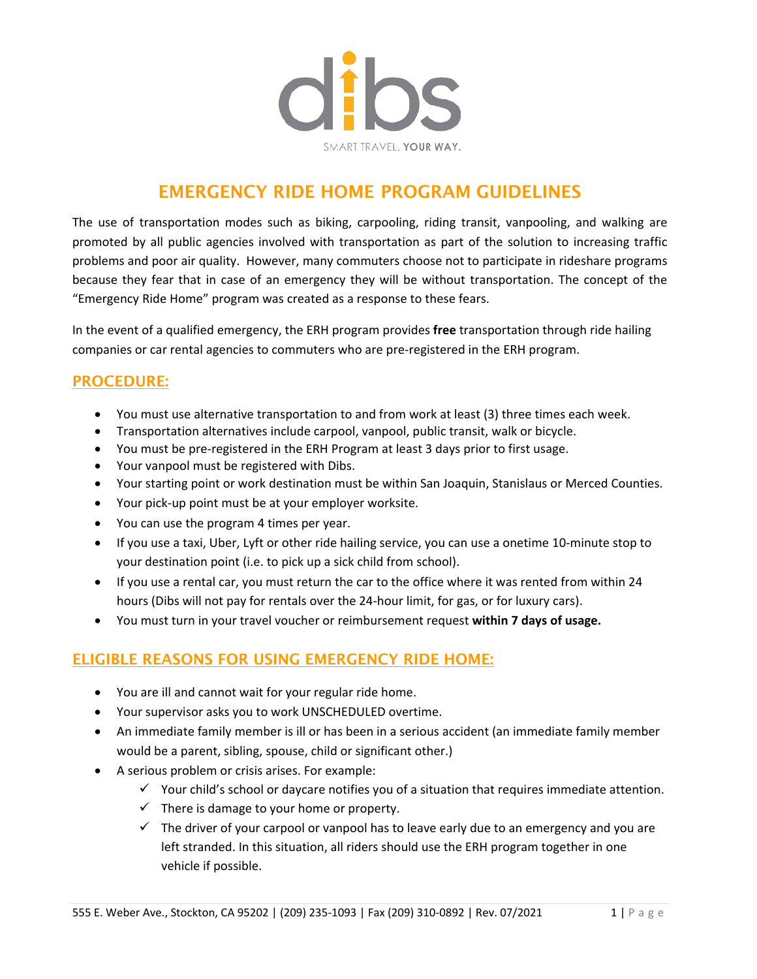

# EMERGENCY RIDE HOME PROGRAM GUIDELINES

The use of transportation modes such as biking, carpooling, riding transit, vanpooling, and walking are promoted by all public agencies involved with transportation as part of the solution to increasing traffic problems and poor air quality. However, many commuters choose not to participate in rideshare programs because they fear that in case of an emergency they will be without transportation. The concept of the "Emergency Ride Home" program was created as a response to these fears.

In the event of a qualified emergency, the ERH program provides **free** transportation through ride hailing companies or car rental agencies to commuters who are pre-registered in the ERH program.

#### PROCEDURE:

- You must use alternative transportation to and from work at least (3) three times each week.
- Transportation alternatives include carpool, vanpool, public transit, walk or bicycle.
- You must be pre-registered in the ERH Program at least 3 days prior to first usage.
- Your vanpool must be registered with Dibs.
- Your starting point or work destination must be within San Joaquin, Stanislaus or Merced Counties.
- Your pick-up point must be at your employer worksite.
- You can use the program 4 times per year.
- If you use a taxi, Uber, Lyft or other ride hailing service, you can use a onetime 10-minute stop to your destination point (i.e. to pick up a sick child from school).
- If you use a rental car, you must return the car to the office where it was rented from within 24 hours (Dibs will not pay for rentals over the 24-hour limit, for gas, or for luxury cars).
- You must turn in your travel voucher or reimbursement request **within 7 days of usage.**

### ELIGIBLE REASONS FOR USING EMERGENCY RIDE HOME:

- You are ill and cannot wait for your regular ride home.
- Your supervisor asks you to work UNSCHEDULED overtime.
- An immediate family member is ill or has been in a serious accident (an immediate family member would be a parent, sibling, spouse, child or significant other.)
- A serious problem or crisis arises. For example:
	- $\checkmark$  Your child's school or daycare notifies you of a situation that requires immediate attention.
	- $\checkmark$  There is damage to your home or property.
	- $\checkmark$  The driver of your carpool or vanpool has to leave early due to an emergency and you are left stranded. In this situation, all riders should use the ERH program together in one vehicle if possible.